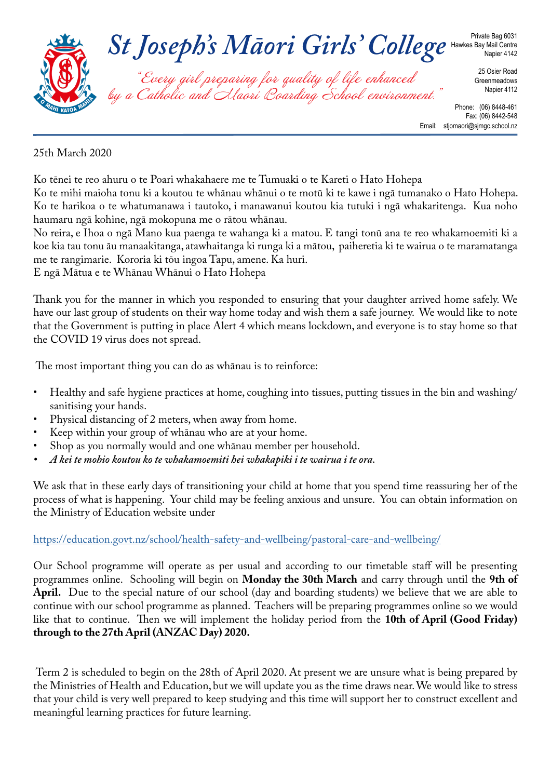

#### Fax: (06) 8442-548 Email: stjomaori@sjmgc.school.nz

### 25th March 2020

Ko tēnei te reo ahuru o te Poari whakahaere me te Tumuaki o te Kareti o Hato Hohepa Ko te mihi maioha tonu ki a koutou te whānau whānui o te motū ki te kawe i ngā tumanako o Hato Hohepa. Ko te harikoa o te whatumanawa i tautoko, i manawanui koutou kia tutuki i ngā whakaritenga. Kua noho haumaru ngā kohine, ngā mokopuna me o rātou whānau.

No reira, e Ihoa o ngā Mano kua paenga te wahanga ki a matou. E tangi tonū ana te reo whakamoemiti ki a koe kia tau tonu āu manaakitanga, atawhaitanga ki runga ki a mātou, paiheretia ki te wairua o te maramatanga me te rangimarie. Kororia ki tōu ingoa Tapu, amene. Ka huri.

E ngā Mātua e te Whānau Whānui o Hato Hohepa

Thank you for the manner in which you responded to ensuring that your daughter arrived home safely. We have our last group of students on their way home today and wish them a safe journey. We would like to note that the Government is putting in place Alert 4 which means lockdown, and everyone is to stay home so that the COVID 19 virus does not spread.

The most important thing you can do as whānau is to reinforce:

- Healthy and safe hygiene practices at home, coughing into tissues, putting tissues in the bin and washing/ sanitising your hands.
- Physical distancing of 2 meters, when away from home.
- Keep within your group of whānau who are at your home.
- Shop as you normally would and one whānau member per household.
- *• A kei te mohio koutou ko te whakamoemiti hei whakapiki i te wairua i te ora.*

We ask that in these early days of transitioning your child at home that you spend time reassuring her of the process of what is happening. Your child may be feeling anxious and unsure. You can obtain information on the Ministry of Education website under

#### https://education.govt.nz/school/health-safety-and-wellbeing/pastoral-care-and-wellbeing/

Our School programme will operate as per usual and according to our timetable staff will be presenting programmes online. Schooling will begin on **Monday the 30th March** and carry through until the **9th of April.** Due to the special nature of our school (day and boarding students) we believe that we are able to continue with our school programme as planned. Teachers will be preparing programmes online so we would like that to continue. Then we will implement the holiday period from the **10th of April (Good Friday) through to the 27th April (ANZAC Day) 2020.** 

 Term 2 is scheduled to begin on the 28th of April 2020. At present we are unsure what is being prepared by the Ministries of Health and Education, but we will update you as the time draws near. We would like to stress that your child is very well prepared to keep studying and this time will support her to construct excellent and meaningful learning practices for future learning.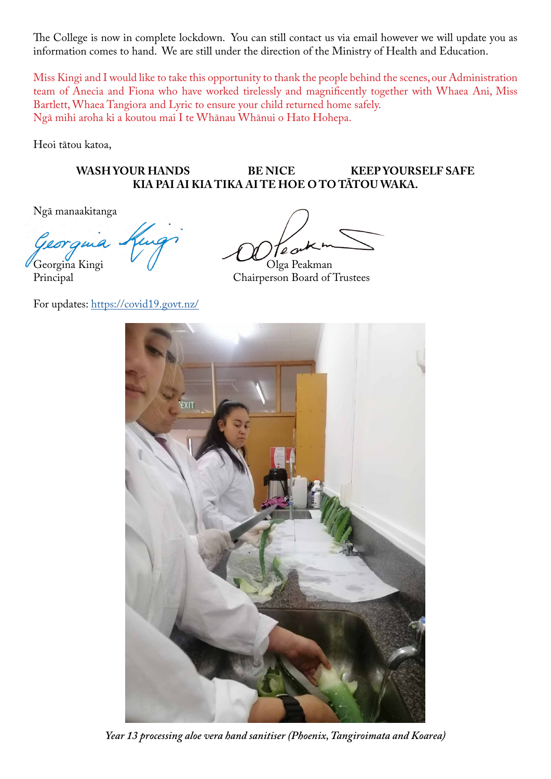The College is now in complete lockdown. You can still contact us via email however we will update you as information comes to hand. We are still under the direction of the Ministry of Health and Education.

Miss Kingi and I would like to take this opportunity to thank the people behind the scenes, our Administration team of Anecia and Fiona who have worked tirelessly and magnificently together with Whaea Ani, Miss Bartlett, Whaea Tangiora and Lyric to ensure your child returned home safely. Ngā mihi aroha ki a koutou mai I te Whānau Whānui o Hato Hohepa.

Heoi tātou katoa,

### WASH YOUR HANDS BE NICE KEEP YOURSELF SAFE **KIA PAI AI KIA TIKA AI TE HOE O TO TĀTOU WAKA.**

Ngā manaakitanga

For updates: https://covid19.govt.nz/

Georgina Kingi V V Olga Peakman<br>Principal Chairperson Board of Chairperson Board of Trustees



*Year 13 processing aloe vera hand sanitiser (Phoenix, Tangiroimata and Koarea)*